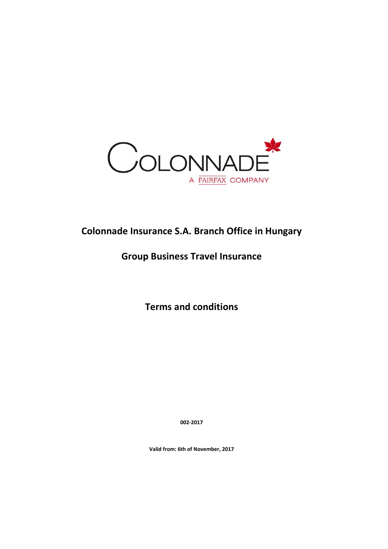

# **Colonnade Insurance S.A. Branch Office in Hungary**

# **Group Business Travel Insurance**

**Terms and conditions**

**002-2017**

**Valid from: 6th of November, 2017**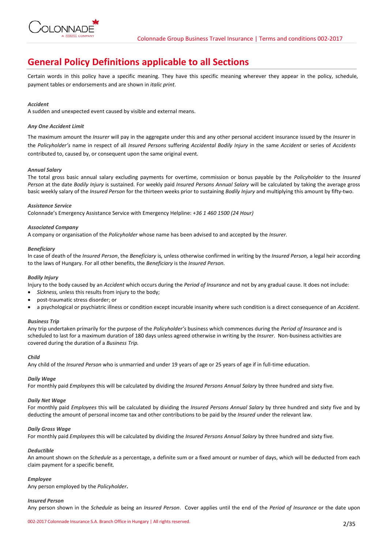

# **General Policy Definitions applicable to all Sections**

Certain words in this policy have a specific meaning. They have this specific meaning wherever they appear in the policy, schedule, payment tables or endorsements and are shown in *italic print*.

# *Accident*

A sudden and unexpected event caused by visible and external means.

## *Any One Accident Limit*

The maximum amount the *Insurer* will pay in the aggregate under this and any other personal accident insurance issued by the *Insurer* in the *Policyholder's* name in respect of all *Insured Persons* suffering *Accidental Bodily Injury* in the same *Accident* or series of *Accidents*  contributed to, caused by, or consequent upon the same original event.

# *Annual Salary*

The total gross basic annual salary excluding payments for overtime, commission or bonus payable by the *Policyholder* to the *Insured Person* at the date *Bodily Injury* is sustained. For weekly paid *Insured Persons Annual Salary* will be calculated by taking the average gross basic weekly salary of the *Insured Person* for the thirteen weeks prior to sustaining *Bodily Injury* and multiplying this amount by fifty-two.

## *Assistance Service*

Colonnade's Emergency Assistance Service with Emergency Helpline: *+36 1 460 1500 (24 Hour)*

## *Associated Company*

A company or organisation of the *Policyholder* whose name has been advised to and accepted by the *Insurer.*

#### *Beneficiary*

In case of death of the *Insured Person*, the *Beneficiary* is*,* unless otherwise confirmed in writing by the *Insured Person,* a legal heir according to the laws of Hungary. For all other benefits, the *Beneficiary* is the *Insured Person.*

## *Bodily Injury*

Injury to the body caused by an *Accident* which occurs during the *Period of Insurance* and not by any gradual cause. It does not include:

- *Sickness,* unless this results from injury to the body;
- post-traumatic stress disorder; or
- a psychological or psychiatric illness or condition except incurable insanity where such condition is a direct consequence of an *Accident*.

#### *Business Trip*

Any trip undertaken primarily for the purpose of the *Policyholder's* business which commences during the *Period of Insurance* and is scheduled to last for a maximum duration of 180 days unless agreed otherwise in writing by the *Insurer*. Non-business activities are covered during the duration of a *Business Trip.*

### *Child*

Any child of the *Insured Person* who is unmarried and under 19 years of age or 25 years of age if in full-time education.

# *Daily Wage*

For monthly paid *Employees* this will be calculated by dividing the *Insured Persons Annual Salary* by three hundred and sixty five.

#### *Daily Net Wage*

For monthly paid *Employees* this will be calculated by dividing the *Insured Persons Annual Salary* by three hundred and sixty five and by deducting the amount of personal income tax and other contributions to be paid by the *Insured* under the relevant law.

#### *Daily Gross Wage*

For monthly paid *Employees* this will be calculated by dividing the *Insured Persons Annual Salary* by three hundred and sixty five.

# *Deductible*

An amount shown on the *Schedule* as a percentage, a definite sum or a fixed amount or number of days, which will be deducted from each claim payment for a specific benefit*.*

#### *Employee*

Any person employed by the *Policyholder***.**

#### *Insured Person*

Any person shown in the *Schedule* as being an *Insured Person*. Cover applies until the end of the *Period of Insurance* or the date upon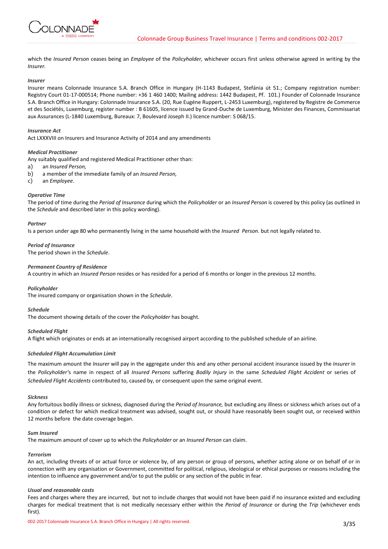

which the *Insured Person* ceases being an *Employee* of the *Policyholder,* whichever occurs first unless otherwise agreed in writing by the *Insurer.*

## *Insurer*

Insurer means Colonnade Insurance S.A. Branch Office in Hungary (H-1143 Budapest, Stefánia út 51.; Company registration number: Registry Court 01-17-000514; Phone number: +36 1 460 1400; Mailing address: 1442 Budapest, Pf. 101.) Founder of Colonnade Insurance S.A. Branch Office in Hungary: Colonnade Insurance S.A. (20, Rue Eugéne Ruppert, L-2453 Luxemburg), registered by Registre de Commerce et des Sociétés, Luxemburg, register number : B 61605, licence issued by Grand-Duche de Luxemburg, Minister des Finances, Commissariat aux Assurances (L-1840 Luxemburg, Bureaux: 7, Boulevard Joseph II.) licence number: S 068/15.

## *Insurance Act*

Act LXXXVIII on Insurers and Insurance Activity of 2014 and any amendments

## *Medical Practitioner*

Any suitably qualified and registered Medical Practitioner other than:

- a) an *Insured Person,*
- b) a member of the immediate family of an *Insured Person,*
- c) an *Employee.*

## *Operative Time*

The period of time during the *Period of Insurance* during which the *Policyholder* or an *Insured Person* is covered by this policy (as outlined in the *Schedule* and described later in this policy wording).

#### *Partner*

Is a person under age 80 who permanently living in the same household with the *Insured Person.* but not legally related to.

## *Period of Insurance*

The period shown in the *Schedule*.

## *Permanent Country of Residence*

A country in which an *Insured Person* resides or has resided for a period of 6 months or longer in the previous 12 months.

#### *Policyholder*

The insured company or organisation shown in the *Schedule*.

#### *Schedule*

The document showing details of the cover the *Policyholder* has bought.

# *Scheduled Flight*

A flight which originates or ends at an internationally recognised airport according to the published schedule of an airline.

# *Scheduled Flight Accumulation Limit*

The maximum amount the *Insurer* will pay in the aggregate under this and any other personal accident insurance issued by the *Insurer* in the *Policyholder'*s name in respect of all *Insured Persons* suffering *Bodily Injury* in the same *Scheduled Flight Accident* or series of *Scheduled Flight Accidents* contributed to, caused by, or consequent upon the same original event.

#### *Sickness*

Any fortuitous bodily illness or sickness, diagnosed during the *Period of Insurance,* but excluding any illness or sickness which arises out of a condition or defect for which medical treatment was advised, sought out, or should have reasonably been sought out, or received within 12 months before the date coverage began.

#### *Sum Insured*

The maximum amount of cover up to which the *Policyholder* or an *Insured Person* can claim.

# *Terrorism*

An act, including threats of or actual force or violence by, of any person or group of persons, whether acting alone or on behalf of or in connection with any organisation or Government, committed for political, religious, ideological or ethical purposes or reasons including the intention to influence any government and/or to put the public or any section of the public in fear.

#### *Usual and reasonable costs*

Fees and charges where they are incurred, but not to include charges that would not have been paid if no insurance existed and excluding charges for medical treatment that is not medically necessary either within the *Period of Insurance* or during the *Trip* (whichever ends first).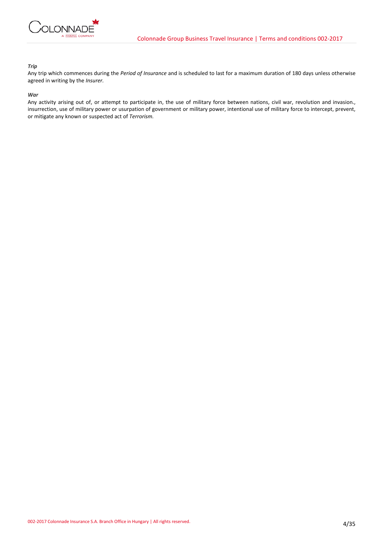

# *Trip*

Any trip which commences during the *Period of Insurance* and is scheduled to last for a maximum duration of 180 days unless otherwise agreed in writing by the *Insurer.*

### *War*

Any activity arising out of, or attempt to participate in, the use of military force between nations, civil war, revolution and invasion., insurrection, use of military power or usurpation of government or military power, intentional use of military force to intercept, prevent, or mitigate any known or suspected act of *Terrorism.*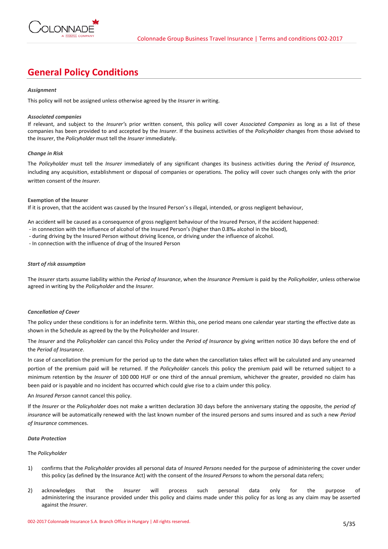

# **General Policy Conditions**

## *Assignment*

This policy will not be assigned unless otherwise agreed by the *Insurer* in writing.

## *Associated companies*

If relevant, and subject to the *Insurer'*s prior written consent, this policy will cover *Associated Companies* as long as a list of these companies has been provided to and accepted by the *Insurer*. If the business activities of the *Policyholder* changes from those advised to the *Insurer*, the *Policyholder* must tell the *Insurer* immediately.

## *Change in Risk*

The *Policyholder* must tell the *Insurer* immediately of any significant changes its business activities during the *Period of Insurance,* including any acquisition, establishment or disposal of companies or operations. The policy will cover such changes only with the prior written consent of the *Insurer.*

## **Exemption of the Insurer**

If it is proven, that the accident was caused by the Insured Person's s illegal, intended, or gross negligent behaviour,

An accident will be caused as a consequence of gross negligent behaviour of the Insured Person, if the accident happened:

- in connection with the influence of alcohol of the Insured Person's (higher than 0.8‰ alcohol in the blood),
- during driving by the Insured Person without driving licence, or driving under the influence of alcohol.

- In connection with the influence of drug of the Insured Person

## *Start of risk assumption*

The *Insurer* starts assume liability within the *Period of Insurance*, when the *Insurance Premium* is paid by the *Policyholder*, unless otherwise agreed in writing by the *Policyholder* and the *Insurer.*

# *Cancellation of Cover*

The policy under these conditions is for an indefinite term. Within this, one period means one calendar year starting the effective date as shown in the Schedule as agreed by the by the Policyholder and Insurer.

The *Insurer* and the *Policyholder* can cancel this Policy under the *Period of Insurance* by giving written notice 30 days before the end of the *Period of Insurance*.

In case of cancellation the premium for the period up to the date when the cancellation takes effect will be calculated and any unearned portion of the premium paid will be returned. If the *Policyholder* cancels this policy the premium paid will be returned subject to a minimum retention by the *Insurer* of 100 000 HUF or one third of the annual premium, whichever the greater, provided no claim has been paid or is payable and no incident has occurred which could give rise to a claim under this policy.

# An *Insured Person* cannot cancel this policy.

If the *Insurer* or the *Policyholder* does not make a written declaration 30 days before the anniversary stating the opposite, the *period of insurance* will be automatically renewed with the last known number of the insured persons and sums insured and as such a new *Period of Insurance* commences.

#### *Data Protection*

# The *Policyholder*

- 1) confirms that the *Policyholder* provides all personal data of *Insured Persons* needed for the purpose of administering the cover under this policy (as defined by the Insurance Act) with the consent of the *Insured Persons* to whom the personal data refers;
- 2) acknowledges that the *Insurer* will process such personal data only for the purpose of administering the insurance provided under this policy and claims made under this policy for as long as any claim may be asserted against the *Insurer*.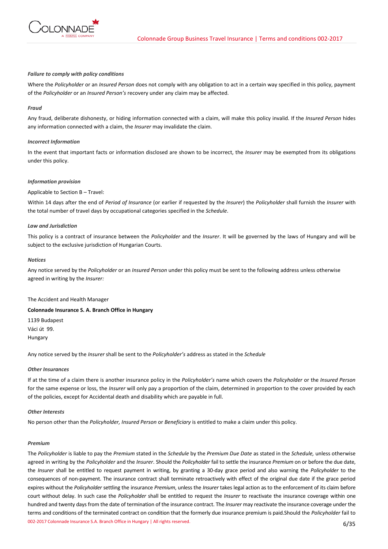

#### *Failure to comply with policy conditions*

Where the *Policyholder* or an *Insured Person* does not comply with any obligation to act in a certain way specified in this policy, payment of the *Policyholder* or an *Insured Person's* recovery under any claim may be affected.

### *Fraud*

Any fraud, deliberate dishonesty, or hiding information connected with a claim, will make this policy invalid. If the *Insured Person* hides any information connected with a claim, the *Insurer* may invalidate the claim.

#### *Incorrect Information*

In the event that important facts or information disclosed are shown to be incorrect, the *Insurer* may be exempted from its obligations under this policy.

## *Information provision*

## Applicable to Section B – Travel:

Within 14 days after the end of *Period of Insurance* (or earlier if requested by the *Insurer*) the *Policyholder* shall furnish the *Insurer* with the total number of travel days by occupational categories specified in the *Schedule*.

## *Law and Jurisdiction*

This policy is a contract of insurance between the *Policyholder* and the *Insurer*. It will be governed by the laws of Hungary and will be subject to the exclusive jurisdiction of Hungarian Courts.

### *Notices*

Any notice served by the *Policyholder* or an *Insured Person* under this policy must be sent to the following address unless otherwise agreed in writing by the *Insurer:*

The Accident and Health Manager

### **Colonnade Insurance S. A. Branch Office in Hungary**

1139 Budapest Váci út 99. Hungary

Any notice served by the *Insurer* shall be sent to the *Policyholder's* address as stated in the *Schedule*

#### *Other Insurances*

If at the time of a claim there is another insurance policy in the *Policyholder's* name which covers the *Policyholder* or the *Insured Person* for the same expense or loss, the *Insurer* will only pay a proportion of the claim, determined in proportion to the cover provided by each of the policies, except for Accidental death and disability which are payable in full.

## *Other Interests*

No person other than the *Policyholder, Insured Person* or *Beneficiary* is entitled to make a claim under this policy.

#### *Premium*

002-2017 Colonnade Insurance S.A. Branch Office in Hungary | All rights reserved. 6/35 The *Policyholder* is liable to pay the *Premium* stated in the *Schedule* by the *Premium Due Date* as stated in the *Schedule,* unless otherwise agreed in writing by the *Policyholder* and the *Insurer*. Should the *Policyholder* fail to settle the insurance *Premium* on or before the due date, the *Insurer* shall be entitled to request payment in writing, by granting a 30-day grace period and also warning the *Policyholder* to the consequences of non-payment. The insurance contract shall terminate retroactively with effect of the original due date if the grace period expires without the *Policyholder* settling the insurance *Premium*, unless the *Insurer* takes legal action as to the enforcement of its claim before court without delay. In such case the *Policyholder* shall be entitled to request the *Insurer* to reactivate the insurance coverage within one hundred and twenty days from the date of termination of the insurance contract. The *Insurer* may reactivate the insurance coverage under the terms and conditions of the terminated contract on condition that the formerly due insurance premium is paid.Should the *Policyholder* fail to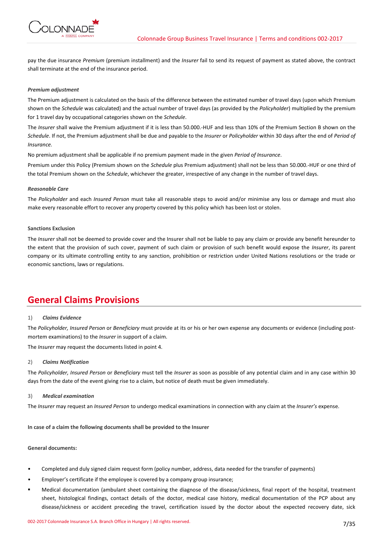

pay the due insurance *Premium* (premium installment) and the *Insurer* fail to send its request of payment as stated above, the contract shall terminate at the end of the insurance period.

## *Premium adjustment*

The Premium adjustment is calculated on the basis of the difference between the estimated number of travel days (upon which Premium shown on the *Schedule* was calculated) and the actual number of travel days (as provided by the *Policyholder*) multiplied by the premium for 1 travel day by occupational categories shown on the *Schedule*.

The *Insurer* shall waive the Premium adjustment if it is less than 50.000.-HUF and less than 10% of the Premium Section B shown on the *Schedule*. If not, the Premium adjustment shall be due and payable to the *Insurer* or *Policyholder* within 30 days after the end of *Period of Insurance.* 

No premium adjustment shall be applicable if no premium payment made in the given *Period of Insurance*.

Premium under this Policy (Premium shown on the *Schedule* plus Premium adjustment) shall not be less than 50.000.-HUF or one third of the total Premium shown on the *Schedule*, whichever the greater, irrespective of any change in the number of travel days.

## *Reasonable Care*

The *Policyholder* and each *Insured Person* must take all reasonable steps to avoid and/or minimise any loss or damage and must also make every reasonable effort to recover any property covered by this policy which has been lost or stolen.

## **Sanctions Exclusion**

The *Insurer* shall not be deemed to provide cover and the Insurer shall not be liable to pay any claim or provide any benefit hereunder to the extent that the provision of such cover, payment of such claim or provision of such benefit would expose the *Insurer*, its parent company or its ultimate controlling entity to any sanction, prohibition or restriction under United Nations resolutions or the trade or economic sanctions, laws or regulations.

# **General Claims Provisions**

# 1) *Claims Evidence*

The *Policyholder, Insured Person* or *Beneficiary* must provide at its or his or her own expense any documents or evidence (including postmortem examinations) to the *Insurer* in support of a claim.

The *Insurer* may request the documents listed in point 4.

#### 2) *Claims Notification*

The *Policyholder, Insured Person* or *Beneficiary* must tell the *Insurer* as soon as possible of any potential claim and in any case within 30 days from the date of the event giving rise to a claim, but notice of death must be given immediately.

#### 3) *Medical examination*

The *Insurer* may request an *Insured Person* to undergo medical examinations in connection with any claim at the *Insurer's* expense.

**In case of a claim the following documents shall be provided to the Insurer** 

## **General documents:**

- Completed and duly signed claim request form (policy number, address, data needed for the transfer of payments)
- Employer's certificate if the employee is covered by a company group insurance;
- Medical documentation (ambulant sheet containing the diagnose of the disease/sickness, final report of the hospital, treatment sheet, histological findings, contact details of the doctor, medical case history, medical documentation of the PCP about any disease/sickness or accident preceding the travel, certification issued by the doctor about the expected recovery date, sick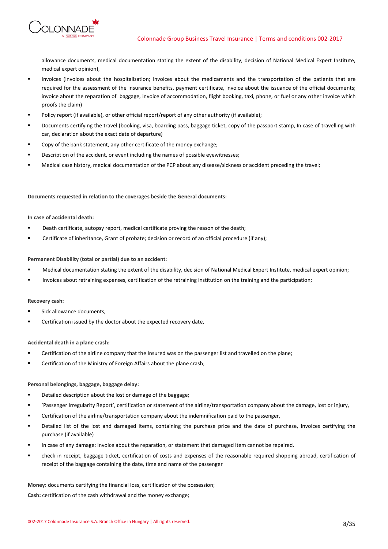**ONNADE** 

allowance documents, medical documentation stating the extent of the disability, decision of National Medical Expert Institute, medical expert opinion),

- Invoices (invoices about the hospitalization; invoices about the medicaments and the transportation of the patients that are required for the assessment of the insurance benefits, payment certificate, invoice about the issuance of the official documents; invoice about the reparation of baggage, invoice of accommodation, flight booking, taxi, phone, or fuel or any other invoice which proofs the claim)
- Policy report (if available), or other official report/report of any other authority (if available);
- Documents certifying the travel (booking, visa, boarding pass, baggage ticket, copy of the passport stamp, In case of travelling with car, declaration about the exact date of departure)
- Copy of the bank statement, any other certificate of the money exchange;
- Description of the accident, or event including the names of possible eyewitnesses;
- Medical case history, medical documentation of the PCP about any disease/sickness or accident preceding the travel;

**Documents requested in relation to the coverages beside the General documents:**

# **In case of accidental death:**

- Death certificate, autopsy report, medical certificate proving the reason of the death;
- Certificate of inheritance, Grant of probate; decision or record of an official procedure (if any);

# **Permanent Disability (total or partial) due to an accident:**

- Medical documentation stating the extent of the disability, decision of National Medical Expert Institute, medical expert opinion;
- Invoices about retraining expenses, certification of the retraining institution on the training and the participation;

# **Recovery cash:**

- Sick allowance documents,
- Certification issued by the doctor about the expected recovery date,

# **Accidental death in a plane crash:**

- Certification of the airline company that the Insured was on the passenger list and travelled on the plane;
- Certification of the Ministry of Foreign Affairs about the plane crash;

# **Personal belongings, baggage, baggage delay:**

- Detailed description about the lost or damage of the baggage;
- 'Passenger Irregularity Report', certification or statement of the airline/transportation company about the damage, lost or injury,
- Certification of the airline/transportation company about the indemnification paid to the passenger,
- Detailed list of the lost and damaged items, containing the purchase price and the date of purchase, Invoices certifying the purchase (if available)
- In case of any damage: invoice about the reparation, or statement that damaged item cannot be repaired,
- check in receipt, baggage ticket, certification of costs and expenses of the reasonable required shopping abroad, certification of receipt of the baggage containing the date, time and name of the passenger

**Money:** documents certifying the financial loss, certification of the possession;

**Cash:** certification of the cash withdrawal and the money exchange;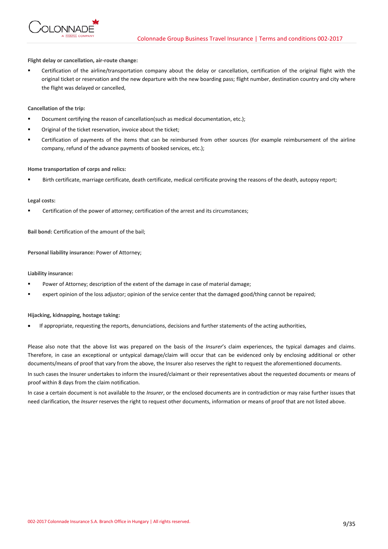

**Flight delay or cancellation, air-route change:**

 Certification of the airline/transportation company about the delay or cancellation, certification of the original flight with the original ticket or reservation and the new departure with the new boarding pass; flight number, destination country and city where the flight was delayed or cancelled,

**Cancellation of the trip:**

- Document certifying the reason of cancellation(such as medical documentation, etc.);
- Original of the ticket reservation, invoice about the ticket;
- Certification of payments of the items that can be reimbursed from other sources (for example reimbursement of the airline company, refund of the advance payments of booked services, etc.);

## **Home transportation of corps and relics:**

Birth certificate, marriage certificate, death certificate, medical certificate proving the reasons of the death, autopsy report;

#### **Legal costs:**

Certification of the power of attorney; certification of the arrest and its circumstances;

**Bail bond:** Certification of the amount of the bail;

**Personal liability insurance:** Power of Attorney;

**Liability insurance:**

- Power of Attorney; description of the extent of the damage in case of material damage;
- expert opinion of the loss adjustor; opinion of the service center that the damaged good/thing cannot be repaired;

**Hijacking, kidnapping, hostage taking:**

If appropriate, requesting the reports, denunciations, decisions and further statements of the acting authorities,

Please also note that the above list was prepared on the basis of the *Insurer*'s claim experiences, the typical damages and claims. Therefore, in case an exceptional or untypical damage/claim will occur that can be evidenced only by enclosing additional or other documents/means of proof that vary from the above, the Insurer also reserves the right to request the aforementioned documents.

In such cases the Insurer undertakes to inform the insured/claimant or their representatives about the requested documents or means of proof within 8 days from the claim notification.

In case a certain document is not available to the *Insurer*, or the enclosed documents are in contradiction or may raise further issues that need clarification, the *Insurer* reserves the right to request other documents, information or means of proof that are not listed above.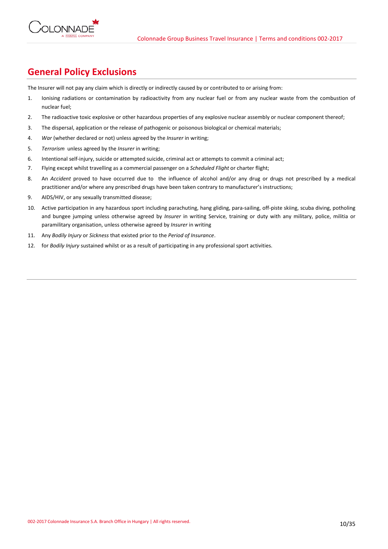

# **General Policy Exclusions**

The Insurer will not pay any claim which is directly or indirectly caused by or contributed to or arising from:

- 1. Ionising radiations or contamination by radioactivity from any nuclear fuel or from any nuclear waste from the combustion of nuclear fuel;
- 2. The radioactive toxic explosive or other hazardous properties of any explosive nuclear assembly or nuclear component thereof;
- 3. The dispersal, application or the release of pathogenic or poisonous biological or chemical materials;
- 4. *War* (whether declared or not) unless agreed by the *Insurer* in writing;
- 5. *Terrorism* unless agreed by the *Insurer* in writing;
- 6. Intentional self-injury, suicide or attempted suicide, criminal act or attempts to commit a criminal act;
- 7. Flying except whilst travelling as a commercial passenger on a *Scheduled Flight* or charter flight;
- 8. An *Accident* proved to have occurred due to the influence of alcohol and/or any drug or drugs not prescribed by a medical practitioner and/or where any prescribed drugs have been taken contrary to manufacturer's instructions;
- 9. AIDS/HIV, or any sexually transmitted disease;
- 10. Active participation in any hazardous sport including parachuting, hang gliding, para-sailing, off-piste skiing, scuba diving, potholing and bungee jumping unless otherwise agreed by *Insurer* in writing Service, training or duty with any military, police, militia or paramilitary organisation, unless otherwise agreed by *Insurer* in writing
- 11. Any *Bodily Injury* or *Sickness* that existed prior to the *Period of Insurance*.
- 12. for *Bodily Injury* sustained whilst or as a result of participating in any professional sport activities.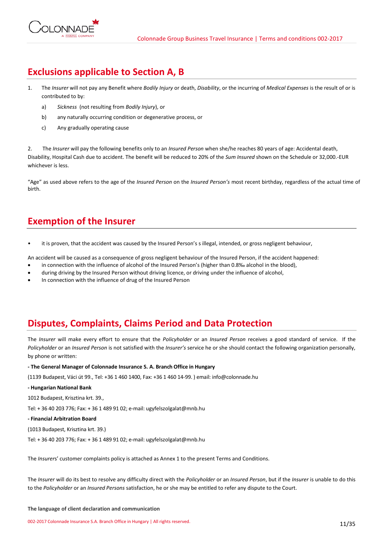

# **Exclusions applicable to Section A, B**

- 1. The *Insurer* will not pay any Benefit where *Bodily Injury* or death, *Disability*, or the incurring of *Medical Expenses* is the result of or is contributed to by:
	- a) *Sickness* (not resulting from *Bodily Injury*), or
	- b) any naturally occurring condition or degenerative process, or
	- c) Any gradually operating cause

2. The *Insurer* will pay the following benefits only to an *Insured Person* when she/he reaches 80 years of age: Accidental death, Disability, Hospital Cash due to accident. The benefit will be reduced to 20% of the *Sum Insured* shown on the Schedule or 32,000.-EUR whichever is less.

"Age" as used above refers to the age of the *Insured Person* on the *Insured Person's* most recent birthday, regardless of the actual time of birth.

# **Exemption of the Insurer**

it is proven, that the accident was caused by the Insured Person's s illegal, intended, or gross negligent behaviour,

An accident will be caused as a consequence of gross negligent behaviour of the Insured Person, if the accident happened:

- in connection with the influence of alcohol of the Insured Person's (higher than 0.8‰ alcohol in the blood),
- during driving by the Insured Person without driving licence, or driving under the influence of alcohol,
- In connection with the influence of drug of the Insured Person

# **Disputes, Complaints, Claims Period and Data Protection**

The *Insurer* will make every effort to ensure that the *Policyholder* or an *Insured Person* receives a good standard of service. If the *Policyholder* or an *Insured Person* is not satisfied with the *Insurer's* service he or she should contact the following organization personally, by phone or written:

# **- The General Manager of Colonnade Insurance S. A. Branch Office in Hungary**

(1139 Budapest, Váci út 99., Tel: +36 1 460 1400, Fax: +36 1 460 14-99. ) email: info@colonnade.hu

# **- Hungarian National Bank**

1012 Budapest, Krisztina krt. 39.,

Tel: + 36 40 203 776; Fax: + 36 1 489 91 02; e-mail: ugyfelszolgalat@mnb.hu

# **- Financial Arbitration Board**

(1013 Budapest, Krisztina krt. 39.)

Tel: + 36 40 203 776; Fax: + 36 1 489 91 02; e-mail: ugyfelszolgalat@mnb.hu

The *Insurer*s' customer complaints policy is attached as Annex 1 to the present Terms and Conditions.

The *Insurer* will do its best to resolve any difficulty direct with the *Policyholder* or an *Insured Person*, but if the *Insurer* is unable to do this to the *Policyholder* or an *Insured Persons* satisfaction, he or she may be entitled to refer any dispute to the Court.

#### **The language of client declaration and communication**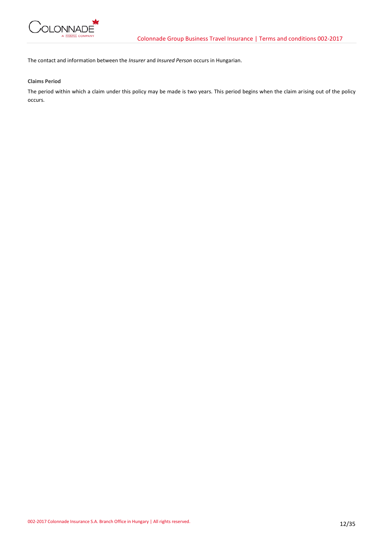

The contact and information between the *Insurer* and *Insured Person* occurs in Hungarian.

**Claims Period**

The period within which a claim under this policy may be made is two years. This period begins when the claim arising out of the policy occurs.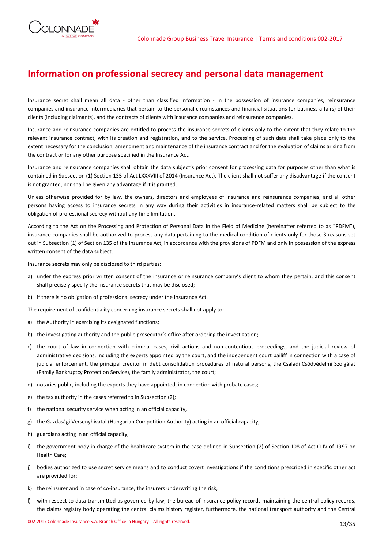# **Information on professional secrecy and personal data management**

Insurance secret shall mean all data - other than classified information - in the possession of insurance companies, reinsurance companies and insurance intermediaries that pertain to the personal circumstances and financial situations (or business affairs) of their clients (including claimants), and the contracts of clients with insurance companies and reinsurance companies.

Insurance and reinsurance companies are entitled to process the insurance secrets of clients only to the extent that they relate to the relevant insurance contract, with its creation and registration, and to the service. Processing of such data shall take place only to the extent necessary for the conclusion, amendment and maintenance of the insurance contract and for the evaluation of claims arising from the contract or for any other purpose specified in the Insurance Act.

Insurance and reinsurance companies shall obtain the data subject's prior consent for processing data for purposes other than what is contained in Subsection (1) Section 135 of Act LXXXVIII of 2014 (Insurance Act). The client shall not suffer any disadvantage if the consent is not granted, nor shall be given any advantage if it is granted.

Unless otherwise provided for by law, the owners, directors and employees of insurance and reinsurance companies, and all other persons having access to insurance secrets in any way during their activities in insurance-related matters shall be subject to the obligation of professional secrecy without any time limitation.

According to the Act on the Processing and Protection of Personal Data in the Field of Medicine (hereinafter referred to as "PDFM"), insurance companies shall be authorized to process any data pertaining to the medical condition of clients only for those 3 reasons set out in Subsection (1) of Section 135 of the Insurance Act, in accordance with the provisions of PDFM and only in possession of the express written consent of the data subject.

Insurance secrets may only be disclosed to third parties:

- a) under the express prior written consent of the insurance or reinsurance company's client to whom they pertain, and this consent shall precisely specify the insurance secrets that may be disclosed;
- b) if there is no obligation of professional secrecy under the Insurance Act.

The requirement of confidentiality concerning insurance secrets shall not apply to:

- a) the Authority in exercising its designated functions;
- b) the investigating authority and the public prosecutor's office after ordering the investigation;
- c) the court of law in connection with criminal cases, civil actions and non-contentious proceedings, and the judicial review of administrative decisions, including the experts appointed by the court, and the independent court bailiff in connection with a case of judicial enforcement, the principal creditor in debt consolidation procedures of natural persons, the Családi Csődvédelmi Szolgálat (Family Bankruptcy Protection Service), the family administrator, the court;
- d) notaries public, including the experts they have appointed, in connection with probate cases;
- e) the tax authority in the cases referred to in Subsection (2);
- f) the national security service when acting in an official capacity,
- g) the Gazdasági Versenyhivatal (Hungarian Competition Authority) acting in an official capacity;
- h) guardians acting in an official capacity,
- i) the government body in charge of the healthcare system in the case defined in Subsection (2) of Section 108 of Act CLIV of 1997 on Health Care;
- j) bodies authorized to use secret service means and to conduct covert investigations if the conditions prescribed in specific other act are provided for;
- k) the reinsurer and in case of co-insurance, the insurers underwriting the risk,
- l) with respect to data transmitted as governed by law, the bureau of insurance policy records maintaining the central policy records, the claims registry body operating the central claims history register, furthermore, the national transport authority and the Central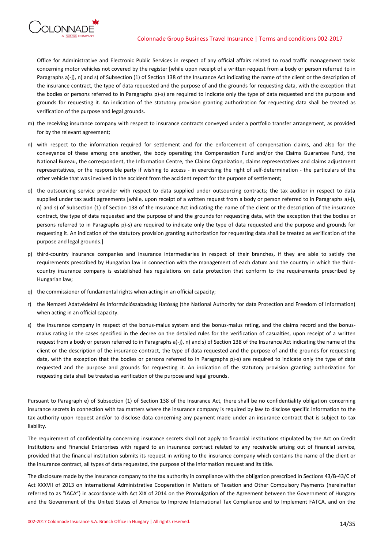

Office for Administrative and Electronic Public Services in respect of any official affairs related to road traffic management tasks concerning motor vehicles not covered by the register [while upon receipt of a written request from a body or person referred to in Paragraphs a)-j), n) and s) of Subsection (1) of Section 138 of the Insurance Act indicating the name of the client or the description of the insurance contract, the type of data requested and the purpose of and the grounds for requesting data, with the exception that the bodies or persons referred to in Paragraphs p)-s) are required to indicate only the type of data requested and the purpose and grounds for requesting it. An indication of the statutory provision granting authorization for requesting data shall be treated as

- m) the receiving insurance company with respect to insurance contracts conveyed under a portfolio transfer arrangement, as provided for by the relevant agreement;
- n) with respect to the information required for settlement and for the enforcement of compensation claims, and also for the conveyance of these among one another, the body operating the Compensation Fund and/or the Claims Guarantee Fund, the National Bureau, the correspondent, the Information Centre, the Claims Organization, claims representatives and claims adjustment representatives, or the responsible party if wishing to access - in exercising the right of self-determination - the particulars of the other vehicle that was involved in the accident from the accident report for the purpose of settlement;
- o) the outsourcing service provider with respect to data supplied under outsourcing contracts; the tax auditor in respect to data supplied under tax audit agreements [while, upon receipt of a written request from a body or person referred to in Paragraphs a)-j), n) and s) of Subsection (1) of Section 138 of the Insurance Act indicating the name of the client or the description of the insurance contract, the type of data requested and the purpose of and the grounds for requesting data, with the exception that the bodies or persons referred to in Paragraphs p)-s) are required to indicate only the type of data requested and the purpose and grounds for requesting it. An indication of the statutory provision granting authorization for requesting data shall be treated as verification of the purpose and legal grounds.]
- p) third-country insurance companies and insurance intermediaries in respect of their branches, if they are able to satisfy the requirements prescribed by Hungarian law in connection with the management of each datum and the country in which the thirdcountry insurance company is established has regulations on data protection that conform to the requirements prescribed by Hungarian law;
- q) the commissioner of fundamental rights when acting in an official capacity;

verification of the purpose and legal grounds.

**ONNADE** 

- r) the Nemzeti Adatvédelmi és Információszabadság Hatóság (the National Authority for data Protection and Freedom of Information) when acting in an official capacity.
- s) the insurance company in respect of the bonus-malus system and the bonus-malus rating, and the claims record and the bonusmalus rating in the cases specified in the decree on the detailed rules for the verification of casualties, upon receipt of a written request from a body or person referred to in Paragraphs a)-j), n) and s) of Section 138 of the Insurance Act indicating the name of the client or the description of the insurance contract, the type of data requested and the purpose of and the grounds for requesting data, with the exception that the bodies or persons referred to in Paragraphs p)-s) are required to indicate only the type of data requested and the purpose and grounds for requesting it. An indication of the statutory provision granting authorization for requesting data shall be treated as verification of the purpose and legal grounds.

Pursuant to Paragraph e) of Subsection (1) of Section 138 of the Insurance Act, there shall be no confidentiality obligation concerning insurance secrets in connection with tax matters where the insurance company is required by law to disclose specific information to the tax authority upon request and/or to disclose data concerning any payment made under an insurance contract that is subject to tax liability.

The requirement of confidentiality concerning insurance secrets shall not apply to financial institutions stipulated by the Act on Credit Institutions and Financial Enterprises with regard to an insurance contract related to any receivable arising out of financial service, provided that the financial institution submits its request in writing to the insurance company which contains the name of the client or the insurance contract, all types of data requested, the purpose of the information request and its title.

The disclosure made by the insurance company to the tax authority in compliance with the obligation prescribed in Sections 43/B-43/C of Act XXXVII of 2013 on International Administrative Cooperation in Matters of Taxation and Other Compulsory Payments (hereinafter referred to as "IACA") in accordance with Act XIX of 2014 on the Promulgation of the Agreement between the Government of Hungary and the Government of the United States of America to Improve International Tax Compliance and to Implement FATCA, and on the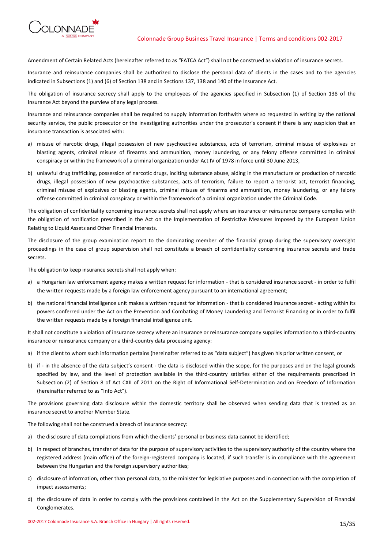

Amendment of Certain Related Acts (hereinafter referred to as "FATCA Act") shall not be construed as violation of insurance secrets.

Insurance and reinsurance companies shall be authorized to disclose the personal data of clients in the cases and to the agencies indicated in Subsections (1) and (6) of Section 138 and in Sections 137, 138 and 140 of the Insurance Act.

The obligation of insurance secrecy shall apply to the employees of the agencies specified in Subsection (1) of Section 138 of the Insurance Act beyond the purview of any legal process.

Insurance and reinsurance companies shall be required to supply information forthwith where so requested in writing by the national security service, the public prosecutor or the investigating authorities under the prosecutor's consent if there is any suspicion that an insurance transaction is associated with:

- a) misuse of narcotic drugs, illegal possession of new psychoactive substances, acts of terrorism, criminal misuse of explosives or blasting agents, criminal misuse of firearms and ammunition, money laundering, or any felony offense committed in criminal conspiracy or within the framework of a criminal organization under Act IV of 1978 in force until 30 June 2013,
- b) unlawful drug trafficking, possession of narcotic drugs, inciting substance abuse, aiding in the manufacture or production of narcotic drugs, illegal possession of new psychoactive substances, acts of terrorism, failure to report a terrorist act, terrorist financing, criminal misuse of explosives or blasting agents, criminal misuse of firearms and ammunition, money laundering, or any felony offense committed in criminal conspiracy or within the framework of a criminal organization under the Criminal Code.

The obligation of confidentiality concerning insurance secrets shall not apply where an insurance or reinsurance company complies with the obligation of notification prescribed in the Act on the Implementation of Restrictive Measures Imposed by the European Union Relating to Liquid Assets and Other Financial Interests.

The disclosure of the group examination report to the dominating member of the financial group during the supervisory oversight proceedings in the case of group supervision shall not constitute a breach of confidentiality concerning insurance secrets and trade secrets.

The obligation to keep insurance secrets shall not apply when:

- a) a Hungarian law enforcement agency makes a written request for information that is considered insurance secret in order to fulfil the written requests made by a foreign law enforcement agency pursuant to an international agreement;
- b) the national financial intelligence unit makes a written request for information that is considered insurance secret acting within its powers conferred under the Act on the Prevention and Combating of Money Laundering and Terrorist Financing or in order to fulfil the written requests made by a foreign financial intelligence unit.

It shall not constitute a violation of insurance secrecy where an insurance or reinsurance company supplies information to a third-country insurance or reinsurance company or a third-country data processing agency:

- a) if the client to whom such information pertains (hereinafter referred to as "data subject") has given his prior written consent, or
- b) if in the absence of the data subject's consent the data is disclosed within the scope, for the purposes and on the legal grounds specified by law, and the level of protection available in the third-country satisfies either of the requirements prescribed in Subsection (2) of Section 8 of Act CXII of 2011 on the Right of Informational Self-Determination and on Freedom of Information (hereinafter referred to as "Info Act").

The provisions governing data disclosure within the domestic territory shall be observed when sending data that is treated as an insurance secret to another Member State.

The following shall not be construed a breach of insurance secrecy:

- a) the disclosure of data compilations from which the clients' personal or business data cannot be identified;
- b) in respect of branches, transfer of data for the purpose of supervisory activities to the supervisory authority of the country where the registered address (main office) of the foreign-registered company is located, if such transfer is in compliance with the agreement between the Hungarian and the foreign supervisory authorities;
- c) disclosure of information, other than personal data, to the minister for legislative purposes and in connection with the completion of impact assessments;
- d) the disclosure of data in order to comply with the provisions contained in the Act on the Supplementary Supervision of Financial Conglomerates.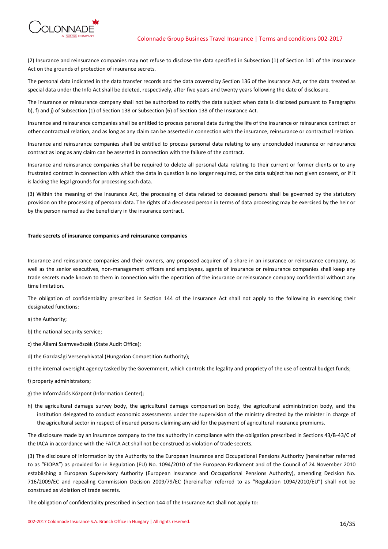

(2) Insurance and reinsurance companies may not refuse to disclose the data specified in Subsection (1) of Section 141 of the Insurance Act on the grounds of protection of insurance secrets.

The personal data indicated in the data transfer records and the data covered by Section 136 of the Insurance Act, or the data treated as special data under the Info Act shall be deleted, respectively, after five years and twenty years following the date of disclosure.

The insurance or reinsurance company shall not be authorized to notify the data subject when data is disclosed pursuant to Paragraphs b), f) and j) of Subsection (1) of Section 138 or Subsection (6) of Section 138 of the Insurance Act.

Insurance and reinsurance companies shall be entitled to process personal data during the life of the insurance or reinsurance contract or other contractual relation, and as long as any claim can be asserted in connection with the insurance, reinsurance or contractual relation.

Insurance and reinsurance companies shall be entitled to process personal data relating to any unconcluded insurance or reinsurance contract as long as any claim can be asserted in connection with the failure of the contract.

Insurance and reinsurance companies shall be required to delete all personal data relating to their current or former clients or to any frustrated contract in connection with which the data in question is no longer required, or the data subject has not given consent, or if it is lacking the legal grounds for processing such data.

(3) Within the meaning of the Insurance Act, the processing of data related to deceased persons shall be governed by the statutory provision on the processing of personal data. The rights of a deceased person in terms of data processing may be exercised by the heir or by the person named as the beneficiary in the insurance contract.

# **Trade secrets of insurance companies and reinsurance companies**

Insurance and reinsurance companies and their owners, any proposed acquirer of a share in an insurance or reinsurance company, as well as the senior executives, non-management officers and employees, agents of insurance or reinsurance companies shall keep any trade secrets made known to them in connection with the operation of the insurance or reinsurance company confidential without any time limitation.

The obligation of confidentiality prescribed in Section 144 of the Insurance Act shall not apply to the following in exercising their designated functions:

a) the Authority;

b) the national security service;

- c) the Állami Számvevőszék (State Audit Office);
- d) the Gazdasági Versenyhivatal (Hungarian Competition Authority);
- e) the internal oversight agency tasked by the Government, which controls the legality and propriety of the use of central budget funds;
- f) property administrators;
- g) the Információs Központ (Information Center);
- h) the agricultural damage survey body, the agricultural damage compensation body, the agricultural administration body, and the institution delegated to conduct economic assessments under the supervision of the ministry directed by the minister in charge of the agricultural sector in respect of insured persons claiming any aid for the payment of agricultural insurance premiums.

The disclosure made by an insurance company to the tax authority in compliance with the obligation prescribed in Sections 43/B-43/C of the IACA in accordance with the FATCA Act shall not be construed as violation of trade secrets.

(3) The disclosure of information by the Authority to the European Insurance and Occupational Pensions Authority (hereinafter referred to as "EIOPA") as provided for in Regulation (EU) No. 1094/2010 of the European Parliament and of the Council of 24 November 2010 establishing a European Supervisory Authority (European Insurance and Occupational Pensions Authority), amending Decision No. 716/2009/EC and repealing Commission Decision 2009/79/EC (hereinafter referred to as "Regulation 1094/2010/EU") shall not be construed as violation of trade secrets.

The obligation of confidentiality prescribed in Section 144 of the Insurance Act shall not apply to: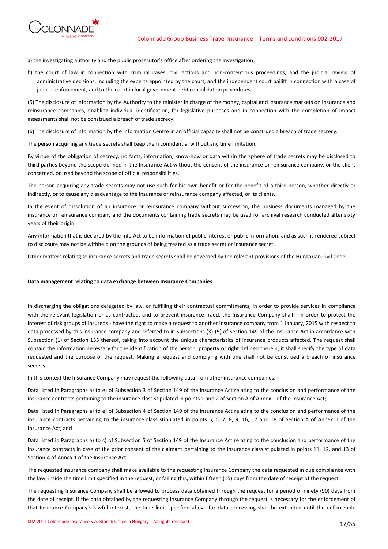

a) the investigating authority and the public prosecutor's office after ordering the investigation;

b) the court of law in connection with criminal cases, civil actions and non-contentious proceedings, and the judicial review of administrative decisions, including the experts appointed by the court, and the independent court bailiff in connection with a case of judicial enforcement, and to the court in local government debt consolidation procedures.

(5) The disclosure of information by the Authority to the minister in charge of the money, capital and insurance markets on insurance and reinsurance companies, enabling individual identification, for legislative purposes and in connection with the completion of impact assessments shall not be construed a breach of trade secrecy.

(6) The disclosure of information by the Information Centre in an official capacity shall not be construed a breach of trade secrecy.

The person acquiring any trade secrets shall keep them confidential without any time limitation.

By virtue of the obligation of secrecy, no facts, information, know-how or data within the sphere of trade secrets may be disclosed to third parties beyond the scope defined in the Insurance Act without the consent of the insurance or reinsurance company, or the client concerned, or used beyond the scope of official responsibilities.

The person acquiring any trade secrets may not use such for his own benefit or for the benefit of a third person, whether directly or indirectly, or to cause any disadvantage to the insurance or reinsurance company affected, or its clients.

In the event of dissolution of an insurance or reinsurance company without succession, the business documents managed by the insurance or reinsurance company and the documents containing trade secrets may be used for archival research conducted after sixty years of their origin.

Any information that is declared by the Info Act to be information of public interest or public information, and as such is rendered subject to disclosure may not be withheld on the grounds of being treated as a trade secret or insurance secret.

Other matters relating to insurance secrets and trade secrets shall be governed by the relevant provisions of the Hungarian Civil Code.

# **Data management relating to data exchange between Insurance Companies**

In discharging the obligations delegated by law, or fulfilling their contractual commitments, in order to provide services in compliance with the relevant legislation or as contracted, and to prevent insurance fraud, the Insurance Company shall - in order to protect the interest of risk groups of insureds - have the right to make a request to another insurance company from 1 January, 2015 with respect to data processed by this insurance company and referred to in Subsections (3)-(5) of Section 149 of the Insurance Act in accordance with Subsection (1) of Section 135 thereof, taking into account the unique characteristics of insurance products affected. The request shall contain the information necessary for the identification of the person, property or right defined therein, it shall specify the type of data requested and the purpose of the request. Making a request and complying with one shall not be construed a breach of insurance secrecy.

In this context the Insurance Company may request the following data from other insurance companies:

Data listed in Paragraphs a) to e) of Subsection 3 of Section 149 of the Insurance Act relating to the conclusion and performance of the insurance contracts pertaining to the insurance class stipulated in points 1 and 2 of Section A of Annex 1 of the Insurance Act;

Data listed in Paragraphs a) to e) of Subsection 4 of Section 149 of the Insurance Act relating to the conclusion and performance of the insurance contracts pertaining to the insurance class stipulated in points 5, 6, 7, 8, 9, 16, 17 and 18 of Section A of Annex 1 of the Insurance Act; and

Data listed in Paragraphs a) to c) of Subsection 5 of Section 149 of the Insurance Act relating to the conclusion and performance of the insurance contracts in case of the prior consent of the claimant pertaining to the insurance class stipulated in points 11, 12, and 13 of Section A of Annex 1 of the Insurance Act.

The requested insurance company shall make available to the requesting Insurance Company the data requested in due compliance with the law, inside the time limit specified in the request, or failing this, within fifteen (15) days from the date of receipt of the request.

The requesting Insurance Company shall be allowed to process data obtained through the request for a period of ninety (90) days from the date of receipt. If the data obtained by the requesting Insurance Company through the request is necessary for the enforcement of that Insurance Company's lawful interest, the time limit specified above for data processing shall be extended until the enforceable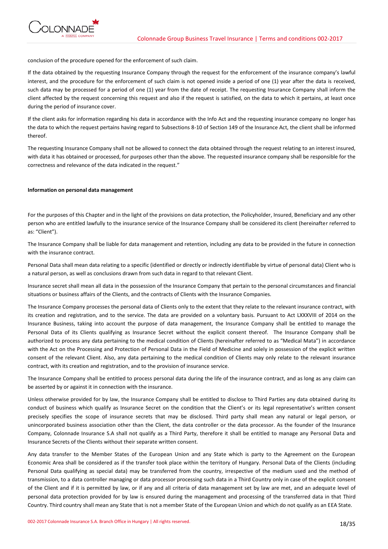

conclusion of the procedure opened for the enforcement of such claim.

If the data obtained by the requesting Insurance Company through the request for the enforcement of the insurance company's lawful interest, and the procedure for the enforcement of such claim is not opened inside a period of one (1) year after the data is received, such data may be processed for a period of one (1) year from the date of receipt. The requesting Insurance Company shall inform the client affected by the request concerning this request and also if the request is satisfied, on the data to which it pertains, at least once during the period of insurance cover.

If the client asks for information regarding his data in accordance with the Info Act and the requesting insurance company no longer has the data to which the request pertains having regard to Subsections 8-10 of Section 149 of the Insurance Act, the client shall be informed thereof.

The requesting Insurance Company shall not be allowed to connect the data obtained through the request relating to an interest insured, with data it has obtained or processed, for purposes other than the above. The requested insurance company shall be responsible for the correctness and relevance of the data indicated in the request."

# **Information on personal data management**

For the purposes of this Chapter and in the light of the provisions on data protection, the Policyholder, Insured, Beneficiary and any other person who are entitled lawfully to the insurance service of the Insurance Company shall be considered its client (hereinafter referred to as: "Client").

The Insurance Company shall be liable for data management and retention, including any data to be provided in the future in connection with the insurance contract.

Personal Data shall mean data relating to a specific (identified or directly or indirectly identifiable by virtue of personal data) Client who is a natural person, as well as conclusions drawn from such data in regard to that relevant Client.

Insurance secret shall mean all data in the possession of the Insurance Company that pertain to the personal circumstances and financial situations or business affairs of the Clients, and the contracts of Clients with the Insurance Companies.

The Insurance Company processes the personal data of Clients only to the extent that they relate to the relevant insurance contract, with its creation and registration, and to the service. The data are provided on a voluntary basis. Pursuant to Act LXXXVIII of 2014 on the Insurance Business, taking into account the purpose of data management, the Insurance Company shall be entitled to manage the Personal Data of its Clients qualifying as Insurance Secret without the explicit consent thereof. The Insurance Company shall be authorized to process any data pertaining to the medical condition of Clients (hereinafter referred to as "Medical Mata") in accordance with the Act on the Processing and Protection of Personal Data in the Field of Medicine and solely in possession of the explicit written consent of the relevant Client. Also, any data pertaining to the medical condition of Clients may only relate to the relevant insurance contract, with its creation and registration, and to the provision of insurance service.

The Insurance Company shall be entitled to process personal data during the life of the insurance contract, and as long as any claim can be asserted by or against it in connection with the insurance.

Unless otherwise provided for by law, the Insurance Company shall be entitled to disclose to Third Parties any data obtained during its conduct of business which qualify as Insurance Secret on the condition that the Client's or its legal representative's written consent precisely specifies the scope of insurance secrets that may be disclosed. Third party shall mean any natural or legal person, or unincorporated business association other than the Client, the data controller or the data processor. As the founder of the Insurance Company, Colonnade Insurance S.A shall not qualify as a Third Party, therefore it shall be entitled to manage any Personal Data and Insurance Secrets of the Clients without their separate written consent.

Any data transfer to the Member States of the European Union and any State which is party to the Agreement on the European Economic Area shall be considered as if the transfer took place within the territory of Hungary. Personal Data of the Clients (including Personal Data qualifying as special data) may be transferred from the country, irrespective of the medium used and the method of transmission, to a data controller managing or data processor processing such data in a Third Country only in case of the explicit consent of the Client and if it is permitted by law, or if any and all criteria of data management set by law are met, and an adequate level of personal data protection provided for by law is ensured during the management and processing of the transferred data in that Third Country. Third country shall mean any State that is not a member State of the European Union and which do not qualify as an EEA State.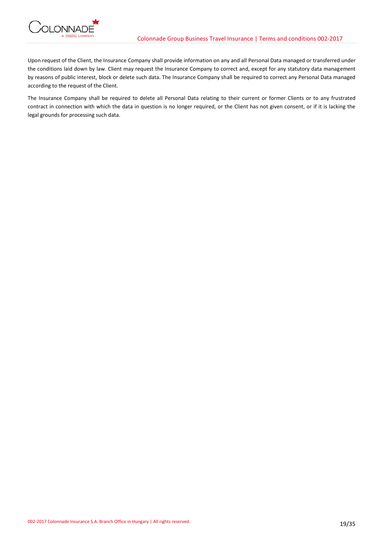

Upon request of the Client, the Insurance Company shall provide information on any and all Personal Data managed or transferred under the conditions laid down by law. Client may request the Insurance Company to correct and, except for any statutory data management by reasons of public interest, block or delete such data. The Insurance Company shall be required to correct any Personal Data managed according to the request of the Client.

The Insurance Company shall be required to delete all Personal Data relating to their current or former Clients or to any frustrated contract in connection with which the data in question is no longer required, or the Client has not given consent, or if it is lacking the legal grounds for processing such data.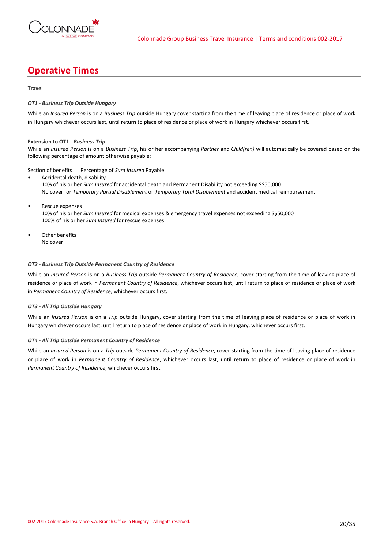

# **Operative Times**

# **Travel**

# *OT1 - Business Trip Outside Hungary*

While an *Insured Person* is on a *Business Trip* outside Hungary cover starting from the time of leaving place of residence or place of work in Hungary whichever occurs last, until return to place of residence or place of work in Hungary whichever occurs first.

# **Extension to OT1 -** *Business Trip*

While an *Insured Person* is on a *Business Trip***,** his or her accompanying *Partner* and *Child(ren)* will automatically be covered based on the following percentage of amount otherwise payable:

# Section of benefits Percentage of *Sum Insured* Payable

- Accidental death, disability 10% of his or her *Sum Insured* for accidental death and Permanent Disability not exceeding S\$50,000 No cover for *Temporary Partial Disablement* or *Temporary Total Disablement* and accident medical reimbursement
- Rescue expenses 10% of his or her *Sum Insured* for medical expenses & emergency travel expenses not exceeding S\$50,000 100% of his or her *Sum Insured* for rescue expenses
- Other benefits No cover

# *OT2 - Business Trip Outside Permanent Country of Residence*

While an *Insured Person* is on a *Business Trip* outside *Permanent Country of Residence*, cover starting from the time of leaving place of residence or place of work in *Permanent Country of Residence*, whichever occurs last, until return to place of residence or place of work in *Permanent Country of Residence*, whichever occurs first.

# *OT3 - All Trip Outside Hungary*

While an *Insured Person* is on a *Trip* outside Hungary, cover starting from the time of leaving place of residence or place of work in Hungary whichever occurs last, until return to place of residence or place of work in Hungary, whichever occurs first.

# *OT4 - All Trip Outside Permanent Country of Residence*

While an *Insured Person* is on a *Trip* outside *Permanent Country of Residence*, cover starting from the time of leaving place of residence or place of work in *Permanent Country of Residence*, whichever occurs last, until return to place of residence or place of work in *Permanent Country of Residence*, whichever occurs first.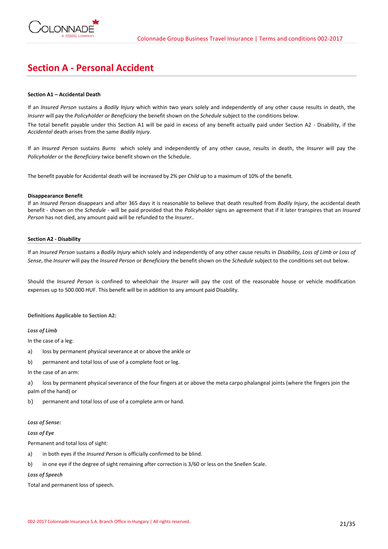

# **Section A - Personal Accident**

# **Section A1 – Accidental Death**

If an *Insured Person* sustains a *Bodily Injury* which within two years solely and independently of any other cause results in death, the *Insurer* will pay the *Policyholder or Beneficiary* the benefit shown on the *Schedule* subject to the conditions below.

The total benefit payable under this Section A1 will be paid in excess of any benefit actually paid under Section A2 - Disability, if the *Accidental* death arises from the same *Bodily Injury*.

If an *Insured Person* sustains *Burns* which solely and independently of any other cause, results in death, the *Insurer* will pay the *Policyholder* or the *Beneficiary* twice benefit shown on the Schedule.

The benefit payable for Accidental death will be increased by 2% per *Child* up to a maximum of 10% of the benefit.

## **Disappearance Benefit**

If an *Insured Person* disappears and after 365 days it is reasonable to believe that death resulted from *Bodily Injury*, the accidental death benefit - shown on the *Schedule* - will be paid provided that the *Policyholder* signs an agreement that if it later transpires that an *Insured Person* has not died, any amount paid will be refunded to the *Insurer..*

## **Section A2 - Disability**

If an *Insured Person* sustains a *Bodily Injury* which solely and independently of any other cause results in *Disability*, *Loss of Limb or Loss of Sense*, the *Insurer* will pay the *Insured Person* or *Beneficiary* the benefit shown on the *Schedule* subject to the conditions set out below.

Should the *Insured Person* is confined to wheelchair the *Insurer* will pay the cost of the reasonable house or vehicle modification expenses up to 500.000 HUF. This benefit will be in addition to any amount paid Disability.

# **Definitions Applicable to Section A2:**

*Loss of Limb* 

In the case of a leg:

a) loss by permanent physical severance at or above the ankle or

b) permanent and total loss of use of a complete foot or leg.

In the case of an arm:

a) loss by permanent physical severance of the four fingers at or above the meta carpo phalangeal joints (where the fingers join the palm of the hand) or

b) permanent and total loss of use of a complete arm or hand.

## *Loss of Sense:*

*Loss of Eye* 

Permanent and total loss of sight:

- a) in both eyes if the *Insured Person* is officially confirmed to be blind.
- b) in one eye if the degree of sight remaining after correction is 3/60 or less on the Snellen Scale.

*Loss of Speech*

Total and permanent loss of speech.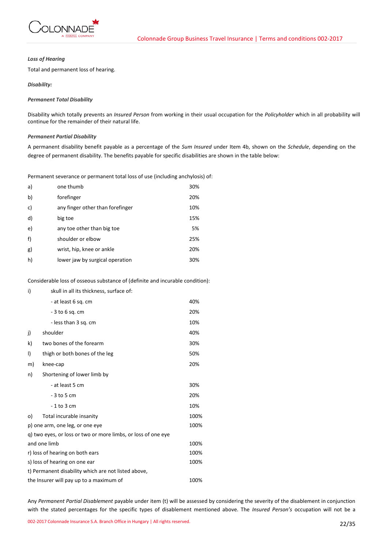

# *Loss of Hearing*

Total and permanent loss of hearing.

# *Disability:*

# *Permanent Total Disability*

Disability which totally prevents an *Insured Person* from working in their usual occupation for the *Policyholder* which in all probability will continue for the remainder of their natural life.

## *Permanent Partial Disability*

A permanent disability benefit payable as a percentage of the *Sum Insured* under Item 4b, shown on the *Schedule*, depending on the degree of permanent disability. The benefits payable for specific disabilities are shown in the table below:

Permanent severance or permanent total loss of use (including anchylosis) of:

| a) | one thumb                        | 30% |
|----|----------------------------------|-----|
| b) | forefinger                       | 20% |
| c) | any finger other than forefinger | 10% |
| d) | big toe                          | 15% |
| e) | any toe other than big toe       | 5%  |
| f) | shoulder or elbow                | 25% |
| g) | wrist, hip, knee or ankle        | 20% |
| h) | lower jaw by surgical operation  | 30% |

Considerable loss of osseous substance of (definite and incurable condition):

| i)                                                            | skull in all its thickness, surface of: |      |  |
|---------------------------------------------------------------|-----------------------------------------|------|--|
|                                                               | - at least 6 sq. cm                     | 40%  |  |
|                                                               | $-3$ to 6 sq. cm                        | 20%  |  |
|                                                               | - less than 3 sq. cm                    | 10%  |  |
| j)                                                            | shoulder                                | 40%  |  |
| k)                                                            | two bones of the forearm                | 30%  |  |
| I)                                                            | thigh or both bones of the leg          | 50%  |  |
| m)                                                            | knee-cap                                | 20%  |  |
| n)                                                            | Shortening of lower limb by             |      |  |
|                                                               | - at least 5 cm                         | 30%  |  |
|                                                               | $-3$ to 5 cm                            | 20%  |  |
|                                                               | $-1$ to 3 cm                            | 10%  |  |
| o)                                                            | Total incurable insanity                | 100% |  |
| p) one arm, one leg, or one eye                               |                                         |      |  |
| g) two eyes, or loss or two or more limbs, or loss of one eye |                                         |      |  |
| and one limb                                                  |                                         | 100% |  |
| r) loss of hearing on both ears                               |                                         | 100% |  |
| s) loss of hearing on one ear                                 |                                         |      |  |
| t) Permanent disability which are not listed above,           |                                         |      |  |
| the Insurer will pay up to a maximum of<br>100%               |                                         |      |  |

Any *Permanent Partial Disablement* payable under item (t) will be assessed by considering the severity of the disablement in conjunction with the stated percentages for the specific types of disablement mentioned above. The *Insured Person's* occupation will not be a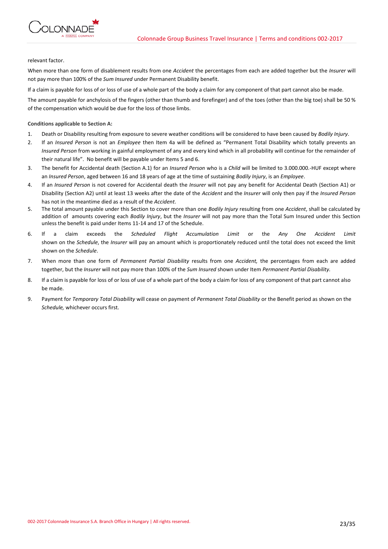

relevant factor.

When more than one form of disablement results from one *Accident* the percentages from each are added together but the *Insurer* will not pay more than 100% of the *Sum Insured* under Permanent Disability benefit.

If a claim is payable for loss of or loss of use of a whole part of the body a claim for any component of that part cannot also be made.

The amount payable for anchylosis of the fingers (other than thumb and forefinger) and of the toes (other than the big toe) shall be 50 % of the compensation which would be due for the loss of those limbs.

# **Conditions applicable to Section A:**

- 1. Death or Disability resulting from exposure to severe weather conditions will be considered to have been caused by *Bodily Injury*.
- 2. If an *Insured Person* is not an *Employee* then Item 4a will be defined as "Permanent Total Disability which totally prevents an *Insured Person* from working in gainful employment of any and every kind which in all probability will continue for the remainder of their natural life". No benefit will be payable under Items 5 and 6.
- 3. The benefit for Accidental death (Section A.1) for an *Insured Person* who is a *Child* will be limited to 3.000.000.-HUF except where an *Insured Person*, aged between 16 and 18 years of age at the time of sustaining *Bodily Injury*, is an *Employee*.
- 4. If an *Insured Person* is not covered for Accidental death the *Insurer* will not pay any benefit for Accidental Death (Section A1) or Disability (Section A2) until at least 13 weeks after the date of the *Accident* and the *Insurer* will only then pay if the *Insured Person* has not in the meantime died as a result of the *Accident*.
- 5. The total amount payable under this Section to cover more than one *Bodily Injury* resulting from one *Accident*, shall be calculated by addition of amounts covering each *Bodily Injury*, but the *Insurer* will not pay more than the Total Sum Insured under this Section unless the benefit is paid under Items 11-14 and 17 of the Schedule.
- 6. If a claim exceeds the *Scheduled Flight Accumulation Limit* or the *Any One Accident Limit* shown on the *Schedule*, the *Insurer* will pay an amount which is proportionately reduced until the total does not exceed the limit shown on the *Schedule*.
- 7. When more than one form of *Permanent Partial Disability* results from one *Accident,* the percentages from each are added together, but the *Insurer* will not pay more than 100% of the *Sum Insured* shown under Item *Permanent Partial Disability.*
- 8. If a claim is payable for loss of or loss of use of a whole part of the body a claim for loss of any component of that part cannot also be made.
- 9. Payment for *Temporary Total Disability* will cease on payment of *Permanent Total Disability* or the Benefit period as shown on the *Schedule,* whichever occurs first.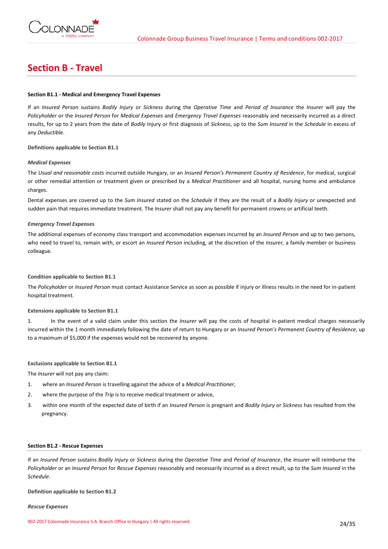

# **Section B - Travel**

# **Section B1.1 - Medical and Emergency Travel Expenses**

If an *Insured Person* sustains *Bodily Injury* or *Sickness* during the *Operative Time* and *Period of Insurance* the *Insurer* will pay the *Policyholder* or the *Insured Person* for *Medical Expenses* and *Emergency Travel Expenses* reasonably and necessarily incurred as a direct results, for up to 2 years from the date of *Bodily* Injury or first diagnosis of *Sickness*, up to the *Sum Insured* in the *Schedule* in excess of any *Deductible*.

**Definitions applicable to Section B1.1**

## *Medical Expenses*

The *Usual and reasonable costs* incurred outside Hungary, or an *Insured Person's Permanent Country of Residence*, for medical, surgical or other remedial attention or treatment given or prescribed by a *Medical Practitioner* and all hospital, nursing home and ambulance charges.

Dental expenses are covered up to the *Sum Insured* stated on the *Schedule* if they are the result of a *Bodily Injury* or unexpected and sudden pain that requires immediate treatment*.* The *Insurer* shall not pay any benefit for permanent crowns or artificial teeth.

## *Emergency Travel Expenses*

The additional expenses of economy class transport and accommodation expenses incurred by an *Insured Person* and up to two persons, who need to travel to, remain with, or escort an *Insured Person* including, at the discretion of the *Insurer,* a family member or business colleague*.*

## **Condition applicable to Section B1.1**

The *Policyholder* or *Insured Person* must contact Assistance Service as soon as possible if injury or illness results in the need for in-patient hospital treatment.

#### **Extensions applicable to Section B1.1**

1. In the event of a valid claim under this section the *Insurer* will pay the costs of hospital in-patient medical charges necessarily incurred within the 1 month immediately following the date of return to Hungary or an *Insured Person's Permanent Country of Residence*, up to a maximum of \$5,000 if the expenses would not be recovered by anyone.

# **Exclusions applicable to Section B1.1**

The *Insurer* will not pay any claim:

- 1. where an *Insured Person* is travelling against the advice of a *Medical Practitioner*,
- 2. where the purpose of the *Trip* is to receive medical treatment or advice,
- 3. within one month of the expected date of birth if an *Insured Person* is pregnant and *Bodily Injury* or *Sickness* has resulted from the pregnancy.

### **Section B1.2 - Rescue Expenses**

If an *Insured Person* sustains *Bodily Injury* or *Sickness* during the *Operative Time* and *Period of Insurance*, the *Insurer* will reimburse the *Policyholder* or an *Insured Person* for *Rescue Expenses* reasonably and necessarily incurred as a direct result, up to the *Sum Insured* in the *Schedule*.

#### **Definition applicable to Section B1.2**

#### *Rescue Expenses*

002-2017 Colonnade Insurance S.A. Branch Office in Hungary | All rights reserved. 24/35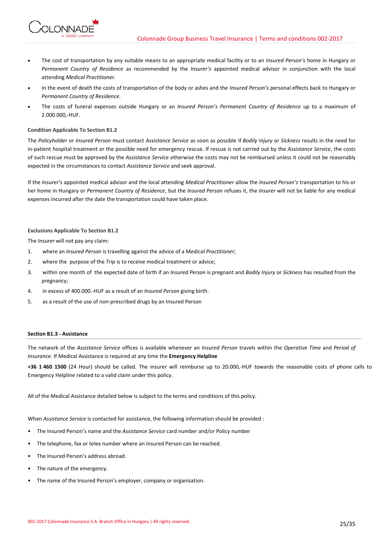- The cost of transportation by any suitable means to an appropriate medical facility or to an *Insured Person's* home in Hungary or *Permanent Country of Residence* as recommended by the *Insurer's* appointed medical advisor in conjunction with the local attending *Medical Practitioner.*
- In the event of death the costs of transportation of the body or ashes and the *Insured Person's* personal effects back to Hungary or *Permanent Country of Residence*.
- The costs of funeral expenses outside Hungary or an *Insured Person's Permanent Country of Residence* up to a maximum of 2.000.000,-HUF.

## **Condition Applicable To Section B1.2**

**ONNADE** 

The *Policyholder* or *Insured Person* must contact *Assistance Service* as soon as possible if *Bodily Injury* or *Sickness* results in the need for in-patient hospital treatment or the possible need for emergency rescue. If rescue is not carried out by the *Assistance Service*, the costs of such rescue must be approved by the *Assistance Service* otherwise the costs may not be reimbursed unless it could not be reasonably expected in the circumstances to contact *Assistance Service* and seek approval.

If the *Insurer's* appointed medical advisor and the local attending *Medical Practitioner* allow the *Insured Person's* transportation to his or her home in Hungary or *Permanent Country of Residence*, but the *Insured Person* refuses it, the *Insurer* will not be liable for any medical expenses incurred after the date the transportation could have taken place.

# **Exclusions Applicable To Section B1.2**

The *Insurer* will not pay any claim:

- 1. where an *Insured Person* is travelling against the advice of a M*edical Practitioner*;
- 2. where the purpose of the *Trip* is to receive medical treatment or advice;
- 3. within one month of the expected date of birth if an *Insured Person* is pregnant and *Bodily Injury* or *Sickness* has resulted from the pregnancy;
- 4. in excess of 400.000.-HUF as a result of an *Insured Person* giving birth.
- 5. as a result of the use of non-prescribed drugs by an Insured Person

## **Section B1.3 - Assistance**

The network of the *Assistance Service* offices is available whenever an *Insured Person* travels within the *Operative Time* and *Period of Insurance*. If Medical Assistance is required at any time the **Emergency Helpline**

**+36 1 460 1500** (24 Hour) should be called. The insurer will reimburse up to 20.000,-HUF towards the reasonable costs of phone calls to Emergency Helpline related to a valid claim under this policy.

All of the Medical Assistance detailed below is subject to the terms and conditions of this policy.

When *Assistance Service* is contacted for assistance, the following information should be provided :

- The Insured Person's name and the *Assistance Service* card number and/or Policy number
- The telephone, fax or telex number where an Insured Person can be reached.
- The Insured Person's address abroad.
- The nature of the emergency.
- The name of the Insured Person's employer, company or organisation.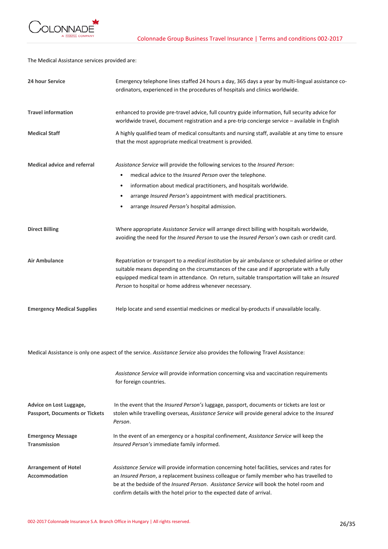

The Medical Assistance services provided are:

| 24 hour Service                                                  | Emergency telephone lines staffed 24 hours a day, 365 days a year by multi-lingual assistance co-<br>ordinators, experienced in the procedures of hospitals and clinics worldwide.                                                                                                                                                                                       |
|------------------------------------------------------------------|--------------------------------------------------------------------------------------------------------------------------------------------------------------------------------------------------------------------------------------------------------------------------------------------------------------------------------------------------------------------------|
| <b>Travel information</b>                                        | enhanced to provide pre-travel advice, full country guide information, full security advice for<br>worldwide travel, document registration and a pre-trip concierge service - available in English                                                                                                                                                                       |
| <b>Medical Staff</b>                                             | A highly qualified team of medical consultants and nursing staff, available at any time to ensure<br>that the most appropriate medical treatment is provided.                                                                                                                                                                                                            |
| <b>Medical advice and referral</b>                               | Assistance Service will provide the following services to the Insured Person:                                                                                                                                                                                                                                                                                            |
|                                                                  | medical advice to the Insured Person over the telephone.<br>$\bullet$                                                                                                                                                                                                                                                                                                    |
|                                                                  | information about medical practitioners, and hospitals worldwide.<br>$\bullet$                                                                                                                                                                                                                                                                                           |
|                                                                  | arrange Insured Person's appointment with medical practitioners.<br>$\bullet$                                                                                                                                                                                                                                                                                            |
|                                                                  | arrange Insured Person's hospital admission.                                                                                                                                                                                                                                                                                                                             |
| <b>Direct Billing</b>                                            | Where appropriate Assistance Service will arrange direct billing with hospitals worldwide,<br>avoiding the need for the Insured Person to use the Insured Person's own cash or credit card.                                                                                                                                                                              |
| <b>Air Ambulance</b>                                             | Repatriation or transport to a medical institution by air ambulance or scheduled airline or other<br>suitable means depending on the circumstances of the case and if appropriate with a fully<br>equipped medical team in attendance. On return, suitable transportation will take an Insured<br>Person to hospital or home address whenever necessary.                 |
| <b>Emergency Medical Supplies</b>                                | Help locate and send essential medicines or medical by-products if unavailable locally.                                                                                                                                                                                                                                                                                  |
|                                                                  | Medical Assistance is only one aspect of the service. Assistance Service also provides the following Travel Assistance:                                                                                                                                                                                                                                                  |
|                                                                  | Assistance Service will provide information concerning visa and vaccination requirements<br>for foreign countries.                                                                                                                                                                                                                                                       |
| Advice on Lost Luggage,<br><b>Passport, Documents or Tickets</b> | In the event that the Insured Person's luggage, passport, documents or tickets are lost or<br>stolen while travelling overseas, Assistance Service will provide general advice to the Insured<br>Person.                                                                                                                                                                 |
| <b>Emergency Message</b><br><b>Transmission</b>                  | In the event of an emergency or a hospital confinement, Assistance Service will keep the<br>Insured Person's immediate family informed.                                                                                                                                                                                                                                  |
| <b>Arrangement of Hotel</b><br>Accommodation                     | Assistance Service will provide information concerning hotel facilities, services and rates for<br>an Insured Person, a replacement business colleague or family member who has travelled to<br>be at the bedside of the <i>Insured Person. Assistance Service</i> will book the hotel room and<br>confirm details with the hotel prior to the expected date of arrival. |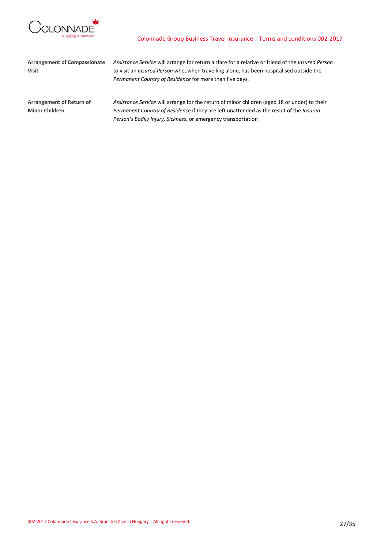

| <b>Arrangement of Compassionate</b> | Assistance Service will arrange for return airfare for a relative or friend of the <i>Insured Person</i> |  |  |
|-------------------------------------|----------------------------------------------------------------------------------------------------------|--|--|
| <b>Visit</b>                        | to visit an <i>Insured Person</i> who, when travelling alone, has been hospitalised outside the          |  |  |
|                                     | Permanent Country of Residence for more than five days.                                                  |  |  |
| Arrangement of Return of            | Assistance Service will arrange for the return of minor children (aged 18 or under) to their             |  |  |
| <b>Minor Children</b>               | Permanent Country of Residence if they are left unattended as the result of the Insured                  |  |  |
|                                     | Person's Bodily Injury, Sickness, or emergency transportation                                            |  |  |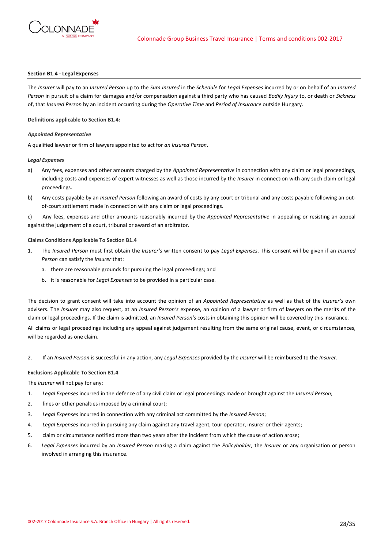

## **Section B1.4 - Legal Expenses**

The *Insurer* will pay to an *Insured Person* up to the *Sum Insured* in the *Schedule* for *Legal Expenses* incurred by or on behalf of an *Insured Person* in pursuit of a claim for damages and/or compensation against a third party who has caused *Bodily Injury* to, or death or *Sickness* of, that *Insured Person* by an incident occurring during the *Operative Time* and *Period of Insurance* outside Hungary.

**Definitions applicable to Section B1.4:**

## *Appointed Representative*

A qualified lawyer or firm of lawyers appointed to act for *an Insured Person*.

#### *Legal Expenses*

- a) Any fees, expenses and other amounts charged by the *Appointed Representative* in connection with any claim or legal proceedings, including costs and expenses of expert witnesses as well as those incurred by the *Insurer* in connection with any such claim or legal proceedings.
- b) Any costs payable by an *Insured Person* following an award of costs by any court or tribunal and any costs payable following an outof-court settlement made in connection with any claim or legal proceedings.

c) Any fees, expenses and other amounts reasonably incurred by the *Appointed Representative* in appealing or resisting an appeal against the judgement of a court, tribunal or award of an arbitrator.

## **Claims Conditions Applicable To Section B1.4**

- 1. The *Insured Person* must first obtain the *Insurer's* written consent to pay *Legal Expenses*. This consent will be given if an *Insured Person* can satisfy the *Insurer* that:
	- a. there are reasonable grounds for pursuing the legal proceedings; and
	- b. it is reasonable for *Legal Expenses* to be provided in a particular case.

The decision to grant consent will take into account the opinion of an *Appointed Representative* as well as that of the *Insurer's* own advisers. The *Insurer* may also request, at an *Insured Person's* expense, an opinion of a lawyer or firm of lawyers on the merits of the claim or legal proceedings. If the claim is admitted, an *Insured Person's* costs in obtaining this opinion will be covered by this insurance.

All claims or legal proceedings including any appeal against judgement resulting from the same original cause, event, or circumstances, will be regarded as one claim.

2. If an *Insured Person* is successful in any action, any *Legal Expenses* provided by the *Insurer* will be reimbursed to the *Insurer*.

#### **Exclusions Applicable To Section B1.4**

The *Insurer* will not pay for any:

- 1. *Legal Expenses* incurred in the defence of any civil claim or legal proceedings made or brought against the *Insured Person*;
- 2. fines or other penalties imposed by a criminal court;
- 3. *Legal Expenses* incurred in connection with any criminal act committed by the *Insured Person*;
- 4. *Legal Expenses* incurred in pursuing any claim against any travel agent, tour operator, insurer or their agents;
- 5. claim or circumstance notified more than two years after the incident from which the cause of action arose;
- 6. *Legal Expenses* incurred by an *Insured Person* making a claim against the *Policyholder,* the *Insurer* or any organisation or person involved in arranging this insurance.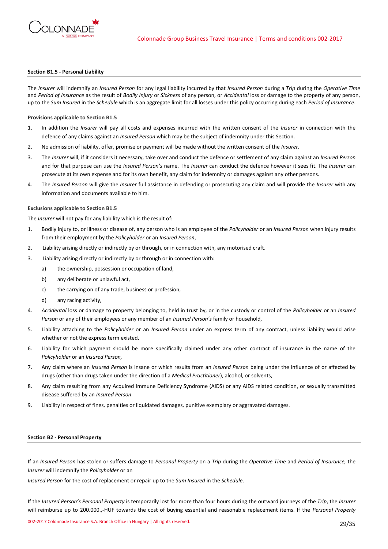

## **Section B1.5 - Personal Liability**

The *Insurer* will indemnify an *Insured Person* for any legal liability incurred by that *Insured Person* during a *Trip* during the *Operative Time*  and *Period of Insurance* as the result of *Bodily Injury* or *Sickness* of any person, or *Accidental* loss or damage to the property of any person, up to the *Sum Insured* in the *Schedule* which is an aggregate limit for all losses under this policy occurring during each *Period of Insurance*.

## **Provisions applicable to Section B1.5**

- 1. In addition the *Insurer* will pay all costs and expenses incurred with the written consent of the *Insurer* in connection with the defence of any claims against an *Insured Person* which may be the subject of indemnity under this Section.
- 2. No admission of liability, offer, promise or payment will be made without the written consent of the *Insurer*.
- 3. The *Insurer* will, if it considers it necessary, take over and conduct the defence or settlement of any claim against an *Insured Person* and for that purpose can use the *Insured Person's* name. The *Insurer* can conduct the defence however it sees fit. The *Insurer* can prosecute at its own expense and for its own benefit, any claim for indemnity or damages against any other persons.
- 4. The *Insured Person* will give the *Insurer* full assistance in defending or prosecuting any claim and will provide the *Insurer* with any information and documents available to him.

#### **Exclusions applicable to Section B1.5**

The *Insurer* will not pay for any liability which is the result of:

- 1. Bodily injury to, or illness or disease of, any person who is an employee of the *Policyholder* or an *Insured Person* when injury results from their employment by the *Policyholder* or an *Insured Person*,
- 2. Liability arising directly or indirectly by or through, or in connection with, any motorised craft.
- 3. Liability arising directly or indirectly by or through or in connection with:
	- a) the ownership, possession or occupation of land,
	- b) any deliberate or unlawful act,
	- c) the carrying on of any trade, business or profession,
	- d) any racing activity,
- 4. *Accidental* loss or damage to property belonging to, held in trust by, or in the custody or control of the *Policyholder* or an *Insured Person* or any of their employees or any member of an *Insured Person's* family or household,
- 5. Liability attaching to the *Policyholder* or an *Insured Person* under an express term of any contract, unless liability would arise whether or not the express term existed,
- 6. Liability for which payment should be more specifically claimed under any other contract of insurance in the name of the *Policyholder* or an *Insured Person,*
- 7. Any claim where an *Insured Person* is insane or which results from an *Insured Person* being under the influence of or affected by drugs (other than drugs taken under the direction of a *Medical Practitioner*), alcohol, or solvents,
- 8. Any claim resulting from any Acquired Immune Deficiency Syndrome (AIDS) or any AIDS related condition, or sexually transmitted disease suffered by an *Insured Person*
- 9. Liability in respect of fines, penalties or liquidated damages, punitive exemplary or aggravated damages.

#### **Section B2 - Personal Property**

If an *Insured Person* has stolen or suffers damage to *Personal Property* on a *Trip* during the *Operative Time* and *Period of Insurance,* the *Insurer* will indemnify the *Policyholder* or an

*Insured Person* for the cost of replacement or repair up to the *Sum Insured* in the *Schedule*.

If the *Insured Person's Personal Property* is temporarily lost for more than four hours during the outward journeys of the *Trip*, the *Insurer* will reimburse up to 200.000.,-HUF towards the cost of buying essential and reasonable replacement items. If the *Personal Property*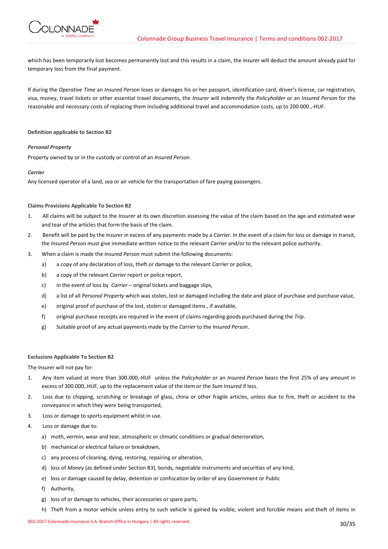

which has been temporarily lost becomes permanently lost and this results in a claim, the *Insurer* will deduct the amount already paid for temporary loss from the final payment.

If during the *Operative Time* an *Insured Person* loses or damages his or her passport, identification card, driver's license, car registration, visa, money, travel tickets or other essential travel documents, the *Insurer* will indemnify the *Policyholder* or an *Insured Person* for the reasonable and necessary costs of replacing them including additional travel and accommodation costs, up to 200.000.,-HUF.

## **Definition applicable to Section B2**

## *Personal Property*

Property owned by or in the custody or control of an *Insured Person*.

## *Carrier*

Any licensed operator of a land, sea or air vehicle for the transportation of fare paying passengers.

## **Claims Provisions Applicable To Section B2**

- 1. All claims will be subject to the *Insurer* at its own discretion assessing the value of the claim based on the age and estimated wear and tear of the articles that form the basis of the claim.
- 2. Benefit will be paid by the *Insurer* in excess of any payments made by a *Carrier*. In the event of a claim for loss or damage in transit, the *Insured Person* must give immediate written notice to the relevant *Carrier* and/or to the relevant police authority.
- 3. When a claim is made the *Insured Person* must submit the following documents:
	- a) a copy of any declaration of loss, theft or damage to the relevant *Carrier* or police,
	- b) a copy of the relevant *Carrier* report or police report,
	- c) in the event of loss by *Carrier*  original tickets and baggage slips,
	- d) a list of all *Personal Property* which was stolen, lost or damaged including the date and place of purchase and purchase value,
	- e) original proof of purchase of the lost, stolen or damaged items., if available,
	- f) original purchase receipts are required in the event of claims regarding goods purchased during the *Trip*.
	- g) Suitable proof of any actual payments made by the *Carrier* to the *Insured Person*.

### **Exclusions Applicable To Section B2**

The *Insurer* will not pay for:

- 1. Any item valued at more than 300.000,-HUF unless the *Policyholder* or an *Insured Person* bears the first 25% of any amount in excess of 300.000,.HUF, up to the replacement value of the item or the *Sum Insured* if less.
- 2. Loss due to chipping, scratching or breakage of glass, china or other fragile articles, unless due to fire, theft or accident to the conveyance in which they were being transported,
- 3. Loss or damage to sports equipment whilst in use.
- 4. Loss or damage due to:
	- a) moth, vermin, wear and tear, atmospheric or climatic conditions or gradual deterioration,
	- b) mechanical or electrical failure or breakdown,
	- c) any process of cleaning, dying, restoring, repairing or alteration,
	- d) loss of *Money* (as defined under Section B3), bonds, negotiable instruments and securities of any kind,
	- e) loss or damage caused by delay, detention or confiscation by order of any Government or Public
	- f) Authority,
	- g) loss of or damage to vehicles, their accessories or spare parts,
	- h) Theft from a motor vehicle unless entry to such vehicle is gained by visible, violent and forcible means and theft of items in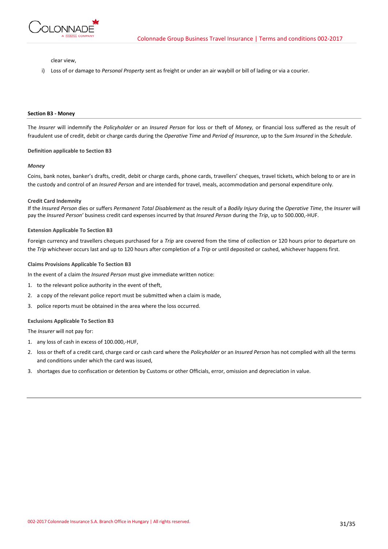

clear view,

i) Loss of or damage to *Personal Property* sent as freight or under an air waybill or bill of lading or via a courier.

#### **Section B3 - Money**

The *Insurer* will indemnify the *Policyholder* or an *Insured Person* for loss or theft of *Money,* or financial loss suffered as the result of fraudulent use of credit, debit or charge cards during the *Operative Time* and *Period of Insurance*, up to the *Sum Insured* in the *Schedule*.

#### **Definition applicable to Section B3**

#### *Money*

Coins, bank notes, banker's drafts, credit, debit or charge cards, phone cards, travellers' cheques, travel tickets, which belong to or are in the custody and control of an *Insured Person* and are intended for travel, meals, accommodation and personal expenditure only*.*

#### **Credit Card Indemnity**

If the *Insured Person* dies or suffers *Permanent Total Disablement* as the result of a *Bodily Injury* during the *Operative Time*, the *Insurer* will pay the *Insured Person*' business credit card expenses incurred by that *Insured Person* during the *Trip*, up to 500.000,-HUF.

#### **Extension Applicable To Section B3**

Foreign currency and travellers cheques purchased for a *Trip* are covered from the time of collection or 120 hours prior to departure on the *Trip* whichever occurs last and up to 120 hours after completion of a *Trip* or until deposited or cashed, whichever happens first.

#### **Claims Provisions Applicable To Section B3**

In the event of a claim the *Insured Person* must give immediate written notice:

- 1. to the relevant police authority in the event of theft,
- 2. a copy of the relevant police report must be submitted when a claim is made,
- 3. police reports must be obtained in the area where the loss occurred.

#### **Exclusions Applicable To Section B3**

The *Insurer* will not pay for:

- 1. any loss of cash in excess of 100.000,-HUF,
- 2. loss or theft of a credit card, charge card or cash card where the *Policyholder* or an *Insured Person* has not complied with all the terms and conditions under which the card was issued,
- 3. shortages due to confiscation or detention by Customs or other Officials, error, omission and depreciation in value.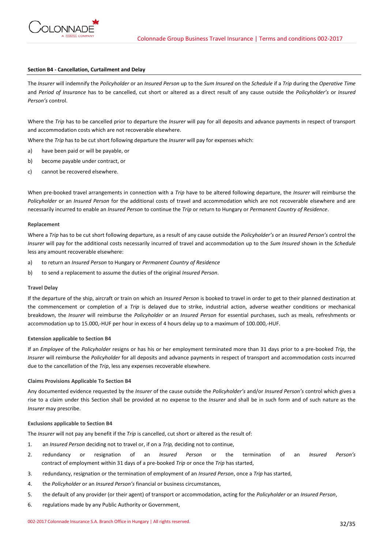

## **Section B4 - Cancellation, Curtailment and Delay**

The *Insurer* will indemnify the *Policyholder* or an *Insured Person* up to the *Sum Insured* on the *Schedule* if a *Trip* during the *Operative Time* and *Period of Insurance* has to be cancelled, cut short or altered as a direct result of any cause outside the *Policyholder's* or *Insured Person's* control.

Where the *Trip* has to be cancelled prior to departure the *Insurer* will pay for all deposits and advance payments in respect of transport and accommodation costs which are not recoverable elsewhere.

Where the *Trip* has to be cut short following departure the *Insurer* will pay for expenses which:

- a) have been paid or will be payable, or
- b) become payable under contract, or
- c) cannot be recovered elsewhere.

When pre-booked travel arrangements in connection with a *Trip* have to be altered following departure, the *Insurer* will reimburse the *Policyholder* or an *Insured Person* for the additional costs of travel and accommodation which are not recoverable elsewhere and are necessarily incurred to enable an *Insured Person* to continue the *Trip* or return to Hungary or *Permanent Country of Residence*.

#### **Replacement**

Where a *Trip* has to be cut short following departure, as a result of any cause outside the *Policyholder's* or an *Insured Person's* control the *Insurer* will pay for the additional costs necessarily incurred of travel and accommodation up to the *Sum Insured* shown in the *Schedule* less any amount recoverable elsewhere:

- a) to return an *Insured Person* to Hungary or *Permanent Country of Residence*
- b) to send a replacement to assume the duties of the original *Insured Person*.

#### **Travel Delay**

If the departure of the ship, aircraft or train on which an *Insured Person* is booked to travel in order to get to their planned destination at the commencement or completion of a *Trip* is delayed due to strike, industrial action, adverse weather conditions or mechanical breakdown, the *Insurer* will reimburse the *Policyholder* or an *Insured Person* for essential purchases, such as meals, refreshments or accommodation up to 15.000,-HUF per hour in excess of 4 hours delay up to a maximum of 100.000,-HUF.

# **Extension applicable to Section B4**

If an *Employee* of the *Policyholder* resigns or has his or her employment terminated more than 31 days prior to a pre-booked *Trip*, the *Insurer* will reimburse the *Policyholder* for all deposits and advance payments in respect of transport and accommodation costs incurred due to the cancellation of the *Trip*, less any expenses recoverable elsewhere.

## **Claims Provisions Applicable To Section B4**

Any documented evidence requested by the *Insurer* of the cause outside the *Policyholder's* and/or *Insured Person's* control which gives a rise to a claim under this Section shall be provided at no expense to the *Insurer* and shall be in such form and of such nature as the *Insurer* may prescribe.

### **Exclusions applicable to Section B4**

The *Insurer* will not pay any benefit if the *Trip* is cancelled, cut short or altered as the result of:

- 1. an *Insured Person* deciding not to travel or, if on a *Trip,* deciding not to continue,
- 2. redundancy or resignation of an *Insured Person* or the termination of an *Insured Person's* contract of employment within 31 days of a pre-booked *Trip* or once the *Trip* has started,
- 3. redundancy, resignation or the termination of employment of an *Insured Person*, once a *Trip* has started,
- 4. the *Policyholder* or an *Insured Person's* financial or business circumstances,
- 5. the default of any provider (or their agent) of transport or accommodation, acting for the *Policyholder* or an *Insured Person*,
- 6. regulations made by any Public Authority or Government,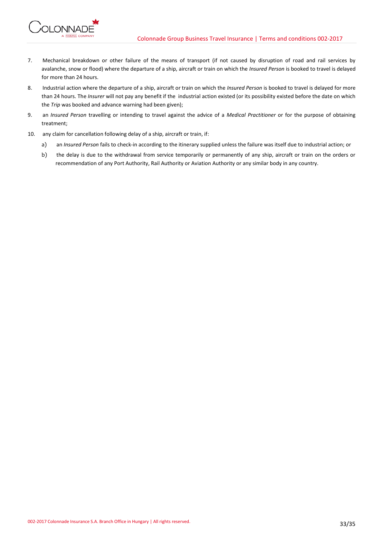

- 7. Mechanical breakdown or other failure of the means of transport (if not caused by disruption of road and rail services by avalanche, snow or flood) where the departure of a ship, aircraft or train on which the *Insured Person* is booked to travel is delayed for more than 24 hours.
- 8. Industrial action where the departure of a ship, aircraft or train on which the *Insured Person* is booked to travel is delayed for more than 24 hours. The *Insurer* will not pay any benefit if the industrial action existed (or its possibility existed before the date on which the *Trip* was booked and advance warning had been given);
- 9. an *Insured Person* travelling or intending to travel against the advice of a *Medical Practitioner* or for the purpose of obtaining treatment;
- 10. any claim for cancellation following delay of a ship, aircraft or train, if:
	- a) an *Insured Person* fails to check-in according to the itinerary supplied unless the failure was itself due to industrial action; or
	- b) the delay is due to the withdrawal from service temporarily or permanently of any ship, aircraft or train on the orders or recommendation of any Port Authority, Rail Authority or Aviation Authority or any similar body in any country.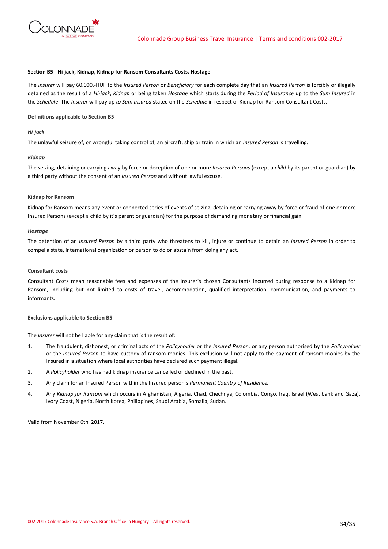

#### **Section B5 - Hi-jack, Kidnap, Kidnap for Ransom Consultants Costs, Hostage**

The *Insurer* will pay 60.000,-HUF to the *Insured Person* or *Beneficiary* for each complete day that an *Insured Person* is forcibly or illegally detained as the result of a *Hi-jack*, *Kidnap* or being taken *Hostage* which starts during the *Period of Insurance* up to the *Sum Insured* in the *Schedule*. The *Insurer* will pay up *to Sum Insured* stated on the *Schedule* in respect of Kidnap for Ransom Consultant Costs.

## **Definitions applicable to Section B5**

## *Hi-jack*

The unlawful seizure of, or wrongful taking control of, an aircraft, ship or train in which an *Insured Person* is travelling.

# *Kidnap*

The seizing, detaining or carrying away by force or deception of one or more *Insured Persons* (except a *child* by its parent or guardian) by a third party without the consent of an *Insured Person* and without lawful excuse.

## **Kidnap for Ransom**

Kidnap for Ransom means any event or connected series of events of seizing, detaining or carrying away by force or fraud of one or more Insured Persons (except a child by it's parent or guardian) for the purpose of demanding monetary or financial gain.

## *Hostage*

The detention of an *Insured Person* by a third party who threatens to kill, injure or continue to detain an *Insured Person* in order to compel a state, international organization or person to do or abstain from doing any act.

## **Consultant costs**

Consultant Costs mean reasonable fees and expenses of the Insurer's chosen Consultants incurred during response to a Kidnap for Ransom, including but not limited to costs of travel, accommodation, qualified interpretation, communication, and payments to informants.

#### **Exclusions applicable to Section B5**

The *Insurer* will not be liable for any claim that is the result of:

- 1. The fraudulent, dishonest, or criminal acts of the *Policyholder* or the *Insured Person*, or any person authorised by the *Policyholder* or the *Insured Person* to have custody of ransom monies. This exclusion will not apply to the payment of ransom monies by the Insured in a situation where local authorities have declared such payment illegal.
- 2. A *Policyholder* who has had kidnap insurance cancelled or declined in the past.
- 3. Any claim for an Insured Person within the Insured person's *Permanent Country of Residence.*
- 4. Any *Kidnap for Ransom* which occurs in Afghanistan, Algeria, Chad, Chechnya, Colombia, Congo, Iraq, Israel (West bank and Gaza), Ivory Coast, Nigeria, North Korea, Philippines, Saudi Arabia, Somalia, Sudan.

Valid from November 6th 2017.